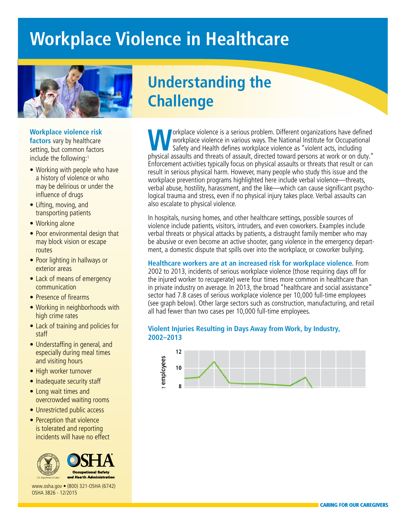# **Workplace Violence in Healthcare**



### **Workplace violence risk**

**factors** vary by healthcare setting, but common factors include the following:<sup>1</sup>

- Working with people who have a history of violence or who may be delirious or under the influence of drugs
- Lifting, moving, and transporting patients
- Working alone
- Poor environmental design that may block vision or escape routes
- Poor lighting in hallways or exterior areas
- Lack of means of emergency communication
- Presence of firearms
- Working in neighborhoods with high crime rates
- Lack of training and policies for staff
- Understaffing in general, and especially during meal times and visiting hours
- High worker turnover
- Inadequate security staff
- Long wait times and overcrowded waiting rooms
- Unrestricted public access
- Perception that violence is tolerated and reporting incidents will have no effect





[www.osha.gov](http://www.osha.gov) • (800) 321-OSHA (6742) OSHA 3826 - 12/2015

## **Understanding the Challenge**

orkplace violence is a serious problem. Different organizations have defined workplace violence in various ways. The National Institute for Occupational Safety and Health defines workplace violence as "violent acts, including physical assaults and threats of assault, directed toward persons at work or on duty." Enforcement activities typically focus on physical assaults or threats that result or can result in serious physical harm. However, many people who study this issue and the workplace prevention programs highlighted here include verbal violence—threats, verbal abuse, hostility, harassment, and the like—which can cause significant psychological trauma and stress, even if no physical injury takes place. Verbal assaults can also escalate to physical violence.

In hospitals, nursing homes, and other healthcare settings, possible sources of violence include patients, visitors, intruders, and even coworkers. Examples include verbal threats or physical attacks by patients, a distraught family member who may be abusive or even become an active shooter, gang violence in the emergency department, a domestic dispute that spills over into the workplace, or coworker bullying.

**Healthcare workers are at an increased risk for workplace violence.** From 2002 to 2013, incidents of serious workplace violence (those requiring days off for the injured worker to recuperate) were four times more common in healthcare than in private industry on average. In 2013, the broad "healthcare and social assistance" sector had 7.8 cases of serious workplace violence per 10,000 full-time employees (see graph below). Other large sectors such as construction, manufacturing, and retail all had fewer than two cases per 10,000 full-time employees.

### **Violent Injuries Resulting in Days Away from Work, by Industry, 2002–2013**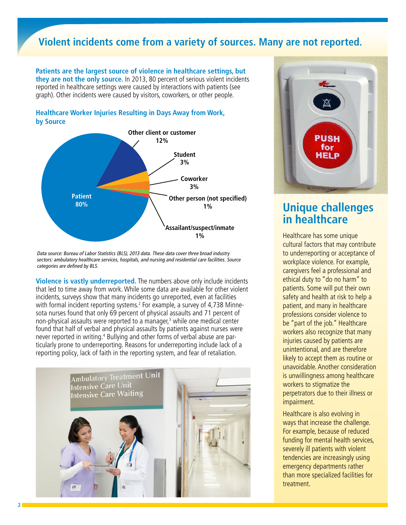### **Violent incidents come from a variety of sources. Many are not reported.**

**Patients are the largest source of violence in healthcare settings, but they are not the only source.** In 2013, 80 percent of serious violent incidents reported in healthcare settings were caused by interactions with patients (see graph). Other incidents were caused by visitors, coworkers, or other people.

### **Healthcare Worker Injuries Resulting in Days Away from Work, by Source**



Data source: Bureau of Labor Statistics (BLS), 2013 data. These data cover three broad industry sectors: ambulatory healthcare services, hospitals, and nursing and residential care facilities. Source categories are defined by BLS.

**Violence is vastly underreported.** The numbers above only include incidents that led to time away from work. While some data are available for other violent incidents, surveys show that many incidents go unreported, even at facilities with formal incident reporting systems.<sup>2</sup> For example, a survey of 4,738 Minnesota nurses found that only 69 percent of physical assaults and 71 percent of non-physical assaults were reported to a manager,<sup>3</sup> while one medical center found that half of verbal and physical assaults by patients against nurses were never reported in writing.<sup>4</sup> Bullying and other forms of verbal abuse are particularly prone to underreporting. Reasons for underreporting include lack of a reporting policy, lack of faith in the reporting system, and fear of retaliation.





# **in healthcare**

Healthcare has some unique cultural factors that may contribute to underreporting or acceptance of workplace violence. For example, caregivers feel a professional and ethical duty to "do no harm" to patients. Some will put their own safety and health at risk to help a patient, and many in healthcare professions consider violence to be "part of the job." Healthcare workers also recognize that many injuries caused by patients are unintentional, and are therefore likely to accept them as routine or unavoidable. Another consideration is unwillingness among healthcare workers to stigmatize the perpetrators due to their illness or impairment.

Healthcare is also evolving in ways that increase the challenge. For example, because of reduced funding for mental health services, severely ill patients with violent tendencies are increasingly using emergency departments rather than more specialized facilities for treatment.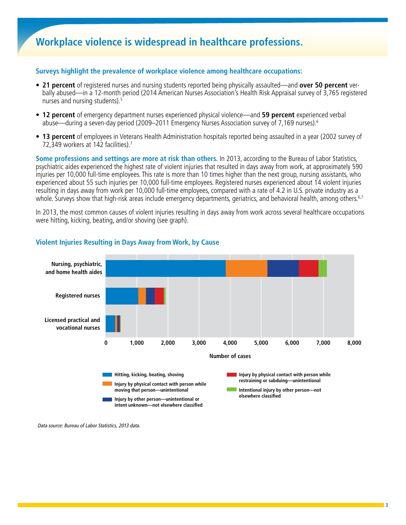## **Workplace violence is widespread in healthcare professions.**

#### **Surveys highlight the prevalence of workplace violence among healthcare occupations:**

- **21 percent** of registered nurses and nursing students reported being physically assaulted—and **over 50 percent** verbally abused—in a 12-month period (2014 American Nurses Association's Health Risk Appraisal survey of 3,765 registered nurses and nursing students).<sup>5</sup>
- **12 percent** of emergency department nurses experienced physical violence—and **59 percent** experienced verbal abuse—during a seven-day period (2009–2011 Emergency Nurses Association survey of 7,169 nurses).6
- **13 percent** of employees in Veterans Health Administration hospitals reported being assaulted in a year (2002 survey of 72,349 workers at 142 facilities).<sup>7</sup>

**Some professions and settings are more at risk than others.** In 2013, according to the Bureau of Labor Statistics, psychiatric aides experienced the highest rate of violent injuries that resulted in days away from work, at approximately 590 injuries per 10,000 full-time employees. This rate is more than 10 times higher than the next group, nursing assistants, who experienced about 55 such injuries per 10,000 full-time employees. Registered nurses experienced about 14 violent injuries resulting in days away from work per 10,000 full-time employees, compared with a rate of 4.2 in U.S. private industry as a whole. Surveys show that high-risk areas include emergency departments, geriatrics, and behavioral health, among others.<sup>6,7</sup>

In 2013, the most common causes of violent injuries resulting in days away from work across several healthcare occupations were hitting, kicking, beating, and/or shoving (see graph).



### **Violent Injuries Resulting in Days Away from Work, by Cause**

Data source: Bureau of Labor Statistics, 2013 data.